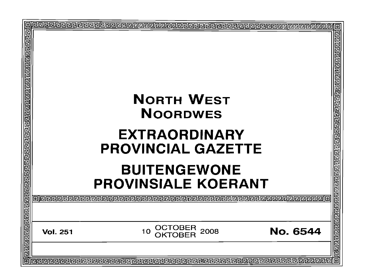| 回                                                                                                                     |                                                      | ⊡                       |
|-----------------------------------------------------------------------------------------------------------------------|------------------------------------------------------|-------------------------|
|                                                                                                                       |                                                      | 己                       |
|                                                                                                                       |                                                      |                         |
|                                                                                                                       |                                                      |                         |
|                                                                                                                       |                                                      |                         |
|                                                                                                                       |                                                      |                         |
|                                                                                                                       |                                                      |                         |
|                                                                                                                       |                                                      |                         |
|                                                                                                                       |                                                      |                         |
|                                                                                                                       |                                                      |                         |
|                                                                                                                       |                                                      |                         |
|                                                                                                                       |                                                      |                         |
|                                                                                                                       | <b>NORTH WEST</b>                                    |                         |
|                                                                                                                       |                                                      |                         |
|                                                                                                                       | <b>NOORDWES</b>                                      |                         |
|                                                                                                                       |                                                      |                         |
|                                                                                                                       |                                                      | eracional de conderacio |
|                                                                                                                       | <b>EXTRAORDINARY</b>                                 | Ŀ                       |
|                                                                                                                       |                                                      |                         |
|                                                                                                                       | <b>PROVINCIAL GAZETTE</b>                            |                         |
|                                                                                                                       |                                                      |                         |
|                                                                                                                       |                                                      |                         |
|                                                                                                                       |                                                      |                         |
|                                                                                                                       | <b>BUITENGEWONE</b>                                  |                         |
|                                                                                                                       |                                                      |                         |
|                                                                                                                       | <b>PROVINSIALE KOERANT</b>                           |                         |
|                                                                                                                       |                                                      |                         |
|                                                                                                                       | aleeeee                                              |                         |
|                                                                                                                       |                                                      | <u> बागवागवाग</u>       |
|                                                                                                                       |                                                      |                         |
|                                                                                                                       |                                                      |                         |
|                                                                                                                       |                                                      |                         |
|                                                                                                                       | OCTOBER<br>No. 6544<br>2008<br>10<br><b>Vol. 251</b> |                         |
|                                                                                                                       |                                                      |                         |
|                                                                                                                       |                                                      |                         |
| <u> विशिष्टा न मान स्थान का न संस्थान का नाम न संस्थान का नाम न मान न न न का नाम का नाम का नाम न न न न न न न न न </u> |                                                      | 00000000                |
|                                                                                                                       |                                                      |                         |
|                                                                                                                       |                                                      | 靣                       |
|                                                                                                                       |                                                      |                         |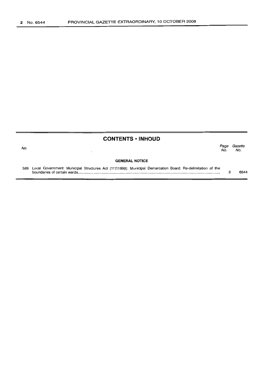## **CONTENTS • INHOUD**

| No.                   |                                                                                                                | Page<br>No. | Gazette<br>No. |  |  |  |  |  |  |  |  |
|-----------------------|----------------------------------------------------------------------------------------------------------------|-------------|----------------|--|--|--|--|--|--|--|--|
| <b>GENERAL NOTICE</b> |                                                                                                                |             |                |  |  |  |  |  |  |  |  |
|                       | 589 Local Government: Municipal Structures Act (117/1998): Municipal Demarcation Board: Re-delimitation of the |             | 6544           |  |  |  |  |  |  |  |  |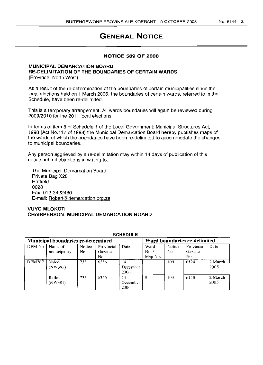# **GENERAL NOTICE**

#### **NOTICE 589 OF 2008**

#### **MUNICIPAL DEMARCATION BOARD RE-DELIMITATION OF THE BOUNDARIES OF CERTAIN WARDS** (Province: North West)

As a result of the re-determination of the boundaries of certain municipalities since the local elections held on 1 March 2006, the boundaries of certain wards, referred to in the Schedule, have been re-delimited.

This is a temporary arrangement. All wards boundaries will again be reviewed during 2009/2010 for the 2011 local elections.

In terms of item 5 of Schedule 1 of the Local Government: Municipal Structures Act, 1998 (Act NO.117 of 1998) the Municipal Demarcation Board hereby publishes maps of the wards of which the boundaries have been re-delimited to accommodate the changes to municipal boundaries.

Any person aggrieved by a re-delimitation may within 14 days of publication of this notice submit objections in writing to:

The Municipal Demarcation Board Private Bag X28 **Hatfield** 0028 Fax: 012-3422480 E-mail: Robert@demarcation.orq.za

### **VUYO MLOKOTI CHAIRPERSON: MUNICIPAL DEMARCATION BOARD**

| Municipal boundaries re-determined |                         |                     |                              |                        | Ward boundaries re-delimited |               |                              |                 |  |  |  |  |
|------------------------------------|-------------------------|---------------------|------------------------------|------------------------|------------------------------|---------------|------------------------------|-----------------|--|--|--|--|
| DEM No                             | Name of<br>municipality | <b>Notice</b><br>Nο | Provincial<br>Gazette<br>No. | Date                   | Ward<br>No. /<br>Map No.     | Notice<br>No. | Provincial<br>Gazette<br>No. | Date            |  |  |  |  |
| <b>DEM267</b>                      | Naledi<br>(NW392)       | 735                 | 6356                         | ι4<br>December<br>2006 |                              | 109           | 6124                         | 2 March<br>2005 |  |  |  |  |
|                                    | Ratlou<br>(NW381)       | 735                 | 6356                         | 14<br>December<br>2006 | 8                            | 103           | 6118                         | 2 March<br>2005 |  |  |  |  |

#### SCHEDULE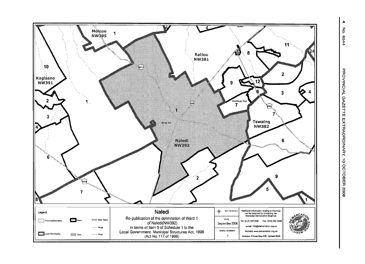